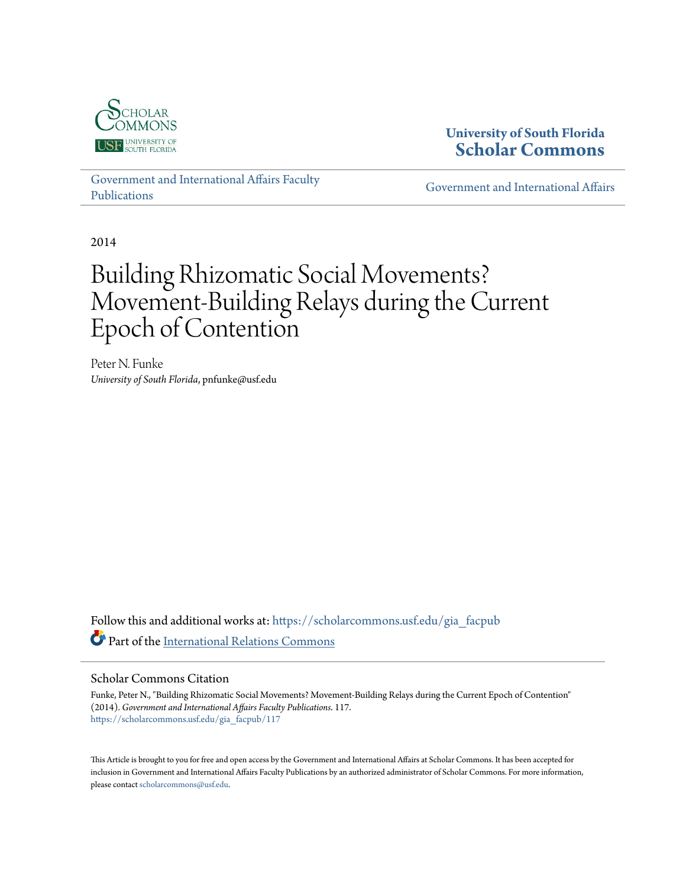

### **University of South Florida [Scholar Commons](https://scholarcommons.usf.edu?utm_source=scholarcommons.usf.edu%2Fgia_facpub%2F117&utm_medium=PDF&utm_campaign=PDFCoverPages)**

[Government and International Affairs Faculty](https://scholarcommons.usf.edu/gia_facpub?utm_source=scholarcommons.usf.edu%2Fgia_facpub%2F117&utm_medium=PDF&utm_campaign=PDFCoverPages) [Publications](https://scholarcommons.usf.edu/gia_facpub?utm_source=scholarcommons.usf.edu%2Fgia_facpub%2F117&utm_medium=PDF&utm_campaign=PDFCoverPages)

[Government and International Affairs](https://scholarcommons.usf.edu/gia?utm_source=scholarcommons.usf.edu%2Fgia_facpub%2F117&utm_medium=PDF&utm_campaign=PDFCoverPages)

2014

# Building Rhizomatic Social Movements? Movement-Building Relays during the Current Epoch of Contention

Peter N. Funke *University of South Florida*, pnfunke@usf.edu

Follow this and additional works at: [https://scholarcommons.usf.edu/gia\\_facpub](https://scholarcommons.usf.edu/gia_facpub?utm_source=scholarcommons.usf.edu%2Fgia_facpub%2F117&utm_medium=PDF&utm_campaign=PDFCoverPages) Part of the [International Relations Commons](http://network.bepress.com/hgg/discipline/389?utm_source=scholarcommons.usf.edu%2Fgia_facpub%2F117&utm_medium=PDF&utm_campaign=PDFCoverPages)

#### Scholar Commons Citation

Funke, Peter N., "Building Rhizomatic Social Movements? Movement-Building Relays during the Current Epoch of Contention" (2014). *Government and International Affairs Faculty Publications*. 117. [https://scholarcommons.usf.edu/gia\\_facpub/117](https://scholarcommons.usf.edu/gia_facpub/117?utm_source=scholarcommons.usf.edu%2Fgia_facpub%2F117&utm_medium=PDF&utm_campaign=PDFCoverPages)

This Article is brought to you for free and open access by the Government and International Affairs at Scholar Commons. It has been accepted for inclusion in Government and International Affairs Faculty Publications by an authorized administrator of Scholar Commons. For more information, please contact [scholarcommons@usf.edu.](mailto:scholarcommons@usf.edu)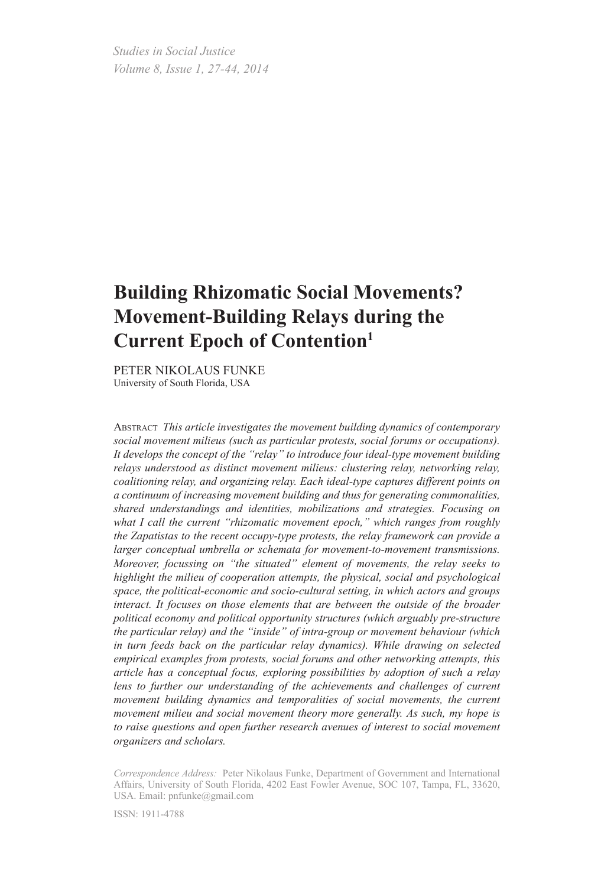*Studies in Social Justice Volume 8, Issue 1, 27-44, 2014*

## **Building Rhizomatic Social Movements? Movement-Building Relays during the Current Epoch of Contention1**

Peter Nikolaus Funke University of South Florida, USA

Abstract *This article investigates the movement building dynamics of contemporary social movement milieus (such as particular protests, social forums or occupations). It develops the concept of the "relay" to introduce four ideal-type movement building relays understood as distinct movement milieus: clustering relay, networking relay, coalitioning relay, and organizing relay. Each ideal-type captures different points on a continuum of increasing movement building and thus for generating commonalities, shared understandings and identities, mobilizations and strategies. Focusing on what I call the current "rhizomatic movement epoch," which ranges from roughly the Zapatistas to the recent occupy-type protests, the relay framework can provide a larger conceptual umbrella or schemata for movement-to-movement transmissions. Moreover, focussing on "the situated" element of movements, the relay seeks to highlight the milieu of cooperation attempts, the physical, social and psychological space, the political-economic and socio-cultural setting, in which actors and groups interact. It focuses on those elements that are between the outside of the broader political economy and political opportunity structures (which arguably pre-structure the particular relay) and the "inside" of intra-group or movement behaviour (which in turn feeds back on the particular relay dynamics). While drawing on selected empirical examples from protests, social forums and other networking attempts, this article has a conceptual focus, exploring possibilities by adoption of such a relay*  lens to further our understanding of the achievements and challenges of current *movement building dynamics and temporalities of social movements, the current movement milieu and social movement theory more generally. As such, my hope is to raise questions and open further research avenues of interest to social movement organizers and scholars.*

*Correspondence Address:* Peter Nikolaus Funke, Department of Government and International Affairs, University of South Florida, 4202 East Fowler Avenue, SOC 107, Tampa, FL, 33620, USA. Email: pnfunke@gmail.com

ISSN: 1911-4788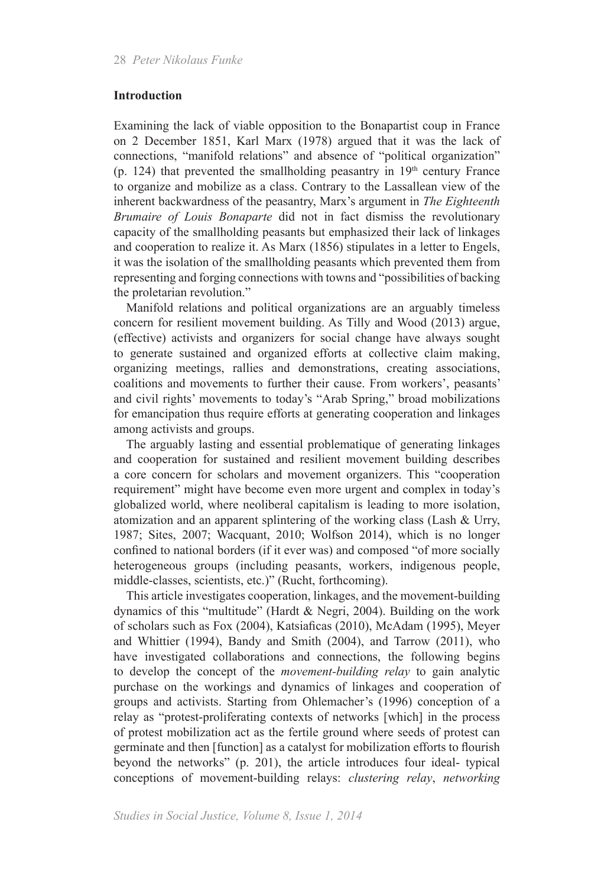#### **Introduction**

Examining the lack of viable opposition to the Bonapartist coup in France on 2 December 1851, Karl Marx (1978) argued that it was the lack of connections, "manifold relations" and absence of "political organization" (p. 124) that prevented the smallholding peasantry in  $19<sup>th</sup>$  century France to organize and mobilize as a class. Contrary to the Lassallean view of the inherent backwardness of the peasantry, Marx's argument in *The Eighteenth Brumaire of Louis Bonaparte* did not in fact dismiss the revolutionary capacity of the smallholding peasants but emphasized their lack of linkages and cooperation to realize it. As Marx (1856) stipulates in a letter to Engels, it was the isolation of the smallholding peasants which prevented them from representing and forging connections with towns and "possibilities of backing the proletarian revolution."

Manifold relations and political organizations are an arguably timeless concern for resilient movement building. As Tilly and Wood (2013) argue, (effective) activists and organizers for social change have always sought to generate sustained and organized efforts at collective claim making, organizing meetings, rallies and demonstrations, creating associations, coalitions and movements to further their cause. From workers', peasants' and civil rights' movements to today's "Arab Spring," broad mobilizations for emancipation thus require efforts at generating cooperation and linkages among activists and groups.

The arguably lasting and essential problematique of generating linkages and cooperation for sustained and resilient movement building describes a core concern for scholars and movement organizers. This "cooperation requirement" might have become even more urgent and complex in today's globalized world, where neoliberal capitalism is leading to more isolation, atomization and an apparent splintering of the working class (Lash & Urry, 1987; Sites, 2007; Wacquant, 2010; Wolfson 2014), which is no longer confined to national borders (if it ever was) and composed "of more socially heterogeneous groups (including peasants, workers, indigenous people, middle-classes, scientists, etc.)" (Rucht, forthcoming).

This article investigates cooperation, linkages, and the movement-building dynamics of this "multitude" (Hardt & Negri, 2004). Building on the work of scholars such as Fox (2004), Katsiaficas (2010), McAdam (1995), Meyer and Whittier (1994), Bandy and Smith (2004), and Tarrow (2011), who have investigated collaborations and connections, the following begins to develop the concept of the *movement-building relay* to gain analytic purchase on the workings and dynamics of linkages and cooperation of groups and activists. Starting from Ohlemacher's (1996) conception of a relay as "protest-proliferating contexts of networks [which] in the process of protest mobilization act as the fertile ground where seeds of protest can germinate and then [function] as a catalyst for mobilization efforts to flourish beyond the networks" (p. 201), the article introduces four ideal- typical conceptions of movement-building relays: *clustering relay*, *networking*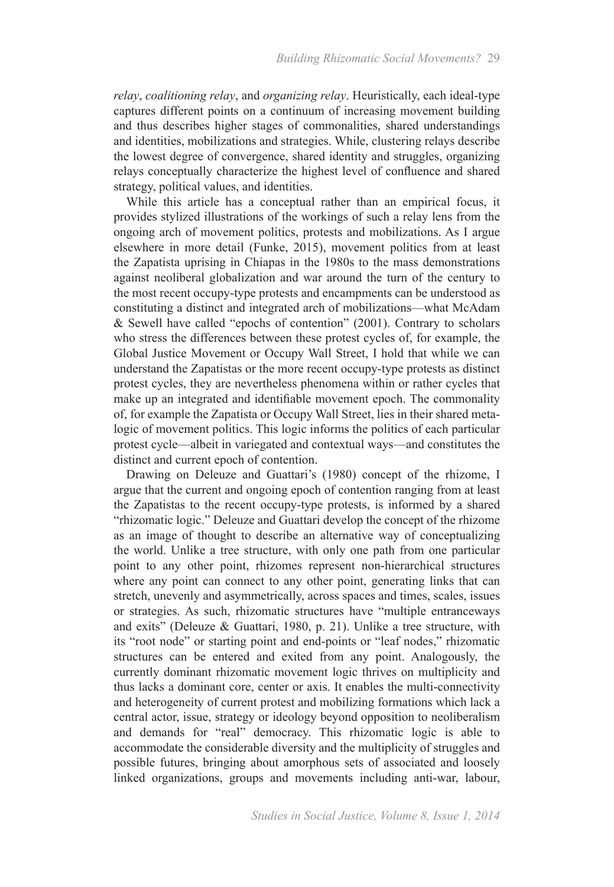*relay*, *coalitioning relay*, and *organizing relay*. Heuristically, each ideal-type captures different points on a continuum of increasing movement building and thus describes higher stages of commonalities, shared understandings and identities, mobilizations and strategies. While, clustering relays describe the lowest degree of convergence, shared identity and struggles, organizing relays conceptually characterize the highest level of confluence and shared strategy, political values, and identities.

While this article has a conceptual rather than an empirical focus, it provides stylized illustrations of the workings of such a relay lens from the ongoing arch of movement politics, protests and mobilizations. As I argue elsewhere in more detail (Funke, 2015), movement politics from at least the Zapatista uprising in Chiapas in the 1980s to the mass demonstrations against neoliberal globalization and war around the turn of the century to the most recent occupy-type protests and encampments can be understood as constituting a distinct and integrated arch of mobilizations—what McAdam & Sewell have called "epochs of contention" (2001). Contrary to scholars who stress the differences between these protest cycles of, for example, the Global Justice Movement or Occupy Wall Street, I hold that while we can understand the Zapatistas or the more recent occupy-type protests as distinct protest cycles, they are nevertheless phenomena within or rather cycles that make up an integrated and identifiable movement epoch. The commonality of, for example the Zapatista or Occupy Wall Street, lies in their shared metalogic of movement politics. This logic informs the politics of each particular protest cycle—albeit in variegated and contextual ways—and constitutes the distinct and current epoch of contention.

Drawing on Deleuze and Guattari's (1980) concept of the rhizome, I argue that the current and ongoing epoch of contention ranging from at least the Zapatistas to the recent occupy-type protests, is informed by a shared "rhizomatic logic." Deleuze and Guattari develop the concept of the rhizome as an image of thought to describe an alternative way of conceptualizing the world. Unlike a tree structure, with only one path from one particular point to any other point, rhizomes represent non-hierarchical structures where any point can connect to any other point, generating links that can stretch, unevenly and asymmetrically, across spaces and times, scales, issues or strategies. As such, rhizomatic structures have "multiple entranceways and exits" (Deleuze & Guattari, 1980, p. 21). Unlike a tree structure, with its "root node" or starting point and end-points or "leaf nodes," rhizomatic structures can be entered and exited from any point. Analogously, the currently dominant rhizomatic movement logic thrives on multiplicity and thus lacks a dominant core, center or axis. It enables the multi-connectivity and heterogeneity of current protest and mobilizing formations which lack a central actor, issue, strategy or ideology beyond opposition to neoliberalism and demands for "real" democracy. This rhizomatic logic is able to accommodate the considerable diversity and the multiplicity of struggles and possible futures, bringing about amorphous sets of associated and loosely linked organizations, groups and movements including anti-war, labour,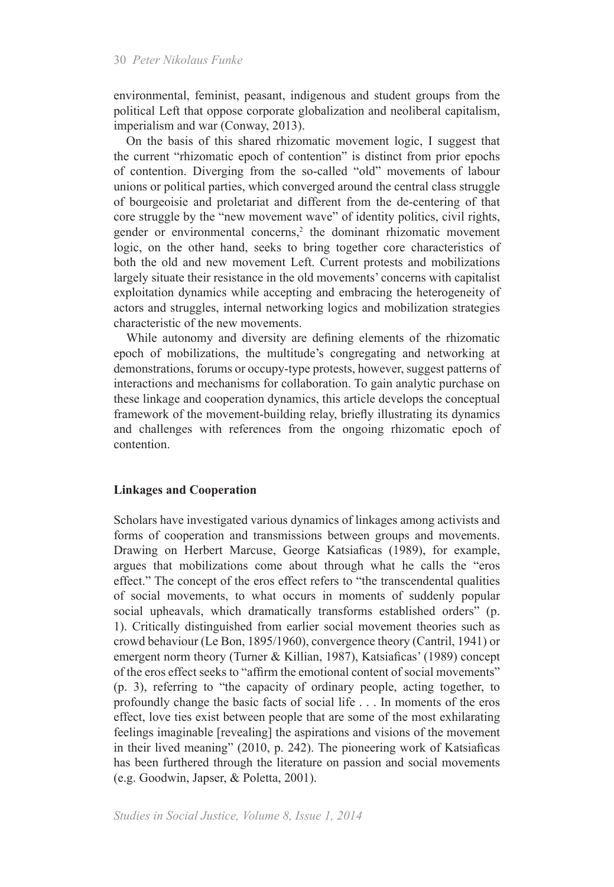environmental, feminist, peasant, indigenous and student groups from the political Left that oppose corporate globalization and neoliberal capitalism, imperialism and war (Conway, 2013).

On the basis of this shared rhizomatic movement logic, I suggest that the current "rhizomatic epoch of contention" is distinct from prior epochs of contention. Diverging from the so-called "old" movements of labour unions or political parties, which converged around the central class struggle of bourgeoisie and proletariat and different from the de-centering of that core struggle by the "new movement wave" of identity politics, civil rights, gender or environmental concerns,<sup>2</sup> the dominant rhizomatic movement logic, on the other hand, seeks to bring together core characteristics of both the old and new movement Left. Current protests and mobilizations largely situate their resistance in the old movements' concerns with capitalist exploitation dynamics while accepting and embracing the heterogeneity of actors and struggles, internal networking logics and mobilization strategies characteristic of the new movements.

While autonomy and diversity are defining elements of the rhizomatic epoch of mobilizations, the multitude's congregating and networking at demonstrations, forums or occupy-type protests, however, suggest patterns of interactions and mechanisms for collaboration. To gain analytic purchase on these linkage and cooperation dynamics, this article develops the conceptual framework of the movement-building relay, briefly illustrating its dynamics and challenges with references from the ongoing rhizomatic epoch of contention.

#### **Linkages and Cooperation**

Scholars have investigated various dynamics of linkages among activists and forms of cooperation and transmissions between groups and movements. Drawing on Herbert Marcuse, George Katsiaficas (1989), for example, argues that mobilizations come about through what he calls the "eros effect." The concept of the eros effect refers to "the transcendental qualities of social movements, to what occurs in moments of suddenly popular social upheavals, which dramatically transforms established orders" (p. 1). Critically distinguished from earlier social movement theories such as crowd behaviour (Le Bon, 1895/1960), convergence theory (Cantril, 1941) or emergent norm theory (Turner & Killian, 1987), Katsiaficas' (1989) concept of the eros effect seeks to "affirm the emotional content of social movements" (p. 3), referring to "the capacity of ordinary people, acting together, to profoundly change the basic facts of social life . . . In moments of the eros effect, love ties exist between people that are some of the most exhilarating feelings imaginable [revealing] the aspirations and visions of the movement in their lived meaning" (2010, p. 242). The pioneering work of Katsiaficas has been furthered through the literature on passion and social movements (e.g. Goodwin, Japser, & Poletta, 2001).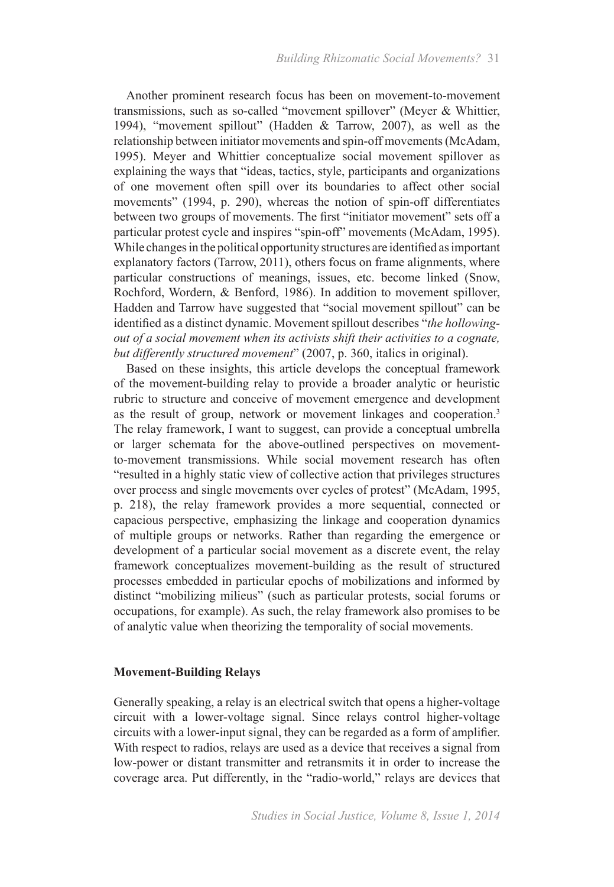Another prominent research focus has been on movement-to-movement transmissions, such as so-called "movement spillover" (Meyer & Whittier, 1994), "movement spillout" (Hadden & Tarrow, 2007), as well as the relationship between initiator movements and spin-off movements (McAdam, 1995). Meyer and Whittier conceptualize social movement spillover as explaining the ways that "ideas, tactics, style, participants and organizations of one movement often spill over its boundaries to affect other social movements" (1994, p. 290), whereas the notion of spin-off differentiates between two groups of movements. The first "initiator movement" sets off a particular protest cycle and inspires "spin-off" movements (McAdam, 1995). While changes in the political opportunity structures are identified as important explanatory factors (Tarrow, 2011), others focus on frame alignments, where particular constructions of meanings, issues, etc. become linked (Snow, Rochford, Wordern, & Benford, 1986). In addition to movement spillover, Hadden and Tarrow have suggested that "social movement spillout" can be identified as a distinct dynamic. Movement spillout describes "*the hollowingout of a social movement when its activists shift their activities to a cognate, but differently structured movement*" (2007, p. 360, italics in original).

Based on these insights, this article develops the conceptual framework of the movement-building relay to provide a broader analytic or heuristic rubric to structure and conceive of movement emergence and development as the result of group, network or movement linkages and cooperation.3 The relay framework, I want to suggest, can provide a conceptual umbrella or larger schemata for the above-outlined perspectives on movementto-movement transmissions. While social movement research has often "resulted in a highly static view of collective action that privileges structures over process and single movements over cycles of protest" (McAdam, 1995, p. 218), the relay framework provides a more sequential, connected or capacious perspective, emphasizing the linkage and cooperation dynamics of multiple groups or networks. Rather than regarding the emergence or development of a particular social movement as a discrete event, the relay framework conceptualizes movement-building as the result of structured processes embedded in particular epochs of mobilizations and informed by distinct "mobilizing milieus" (such as particular protests, social forums or occupations, for example). As such, the relay framework also promises to be of analytic value when theorizing the temporality of social movements.

#### **Movement-Building Relays**

Generally speaking, a relay is an electrical switch that opens a higher-voltage circuit with a lower-voltage signal. Since relays control higher-voltage circuits with a lower-input signal, they can be regarded as a form of amplifier. With respect to radios, relays are used as a device that receives a signal from low-power or distant transmitter and retransmits it in order to increase the coverage area. Put differently, in the "radio-world," relays are devices that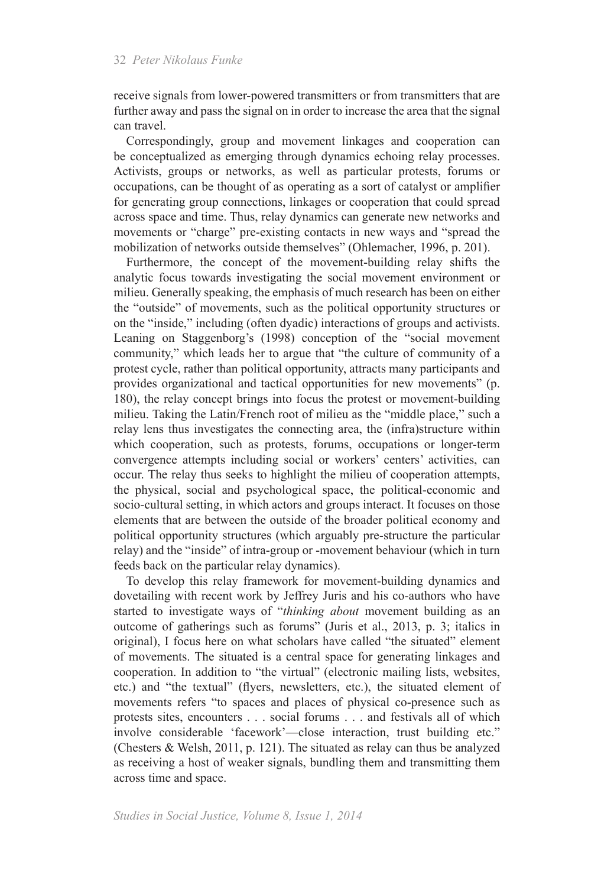receive signals from lower-powered transmitters or from transmitters that are further away and pass the signal on in order to increase the area that the signal can travel.

Correspondingly, group and movement linkages and cooperation can be conceptualized as emerging through dynamics echoing relay processes. Activists, groups or networks, as well as particular protests, forums or occupations, can be thought of as operating as a sort of catalyst or amplifier for generating group connections, linkages or cooperation that could spread across space and time. Thus, relay dynamics can generate new networks and movements or "charge" pre-existing contacts in new ways and "spread the mobilization of networks outside themselves" (Ohlemacher, 1996, p. 201).

Furthermore, the concept of the movement-building relay shifts the analytic focus towards investigating the social movement environment or milieu. Generally speaking, the emphasis of much research has been on either the "outside" of movements, such as the political opportunity structures or on the "inside," including (often dyadic) interactions of groups and activists. Leaning on Staggenborg's (1998) conception of the "social movement community," which leads her to argue that "the culture of community of a protest cycle, rather than political opportunity, attracts many participants and provides organizational and tactical opportunities for new movements" (p. 180), the relay concept brings into focus the protest or movement-building milieu. Taking the Latin/French root of milieu as the "middle place," such a relay lens thus investigates the connecting area, the (infra)structure within which cooperation, such as protests, forums, occupations or longer-term convergence attempts including social or workers' centers' activities, can occur. The relay thus seeks to highlight the milieu of cooperation attempts, the physical, social and psychological space, the political-economic and socio-cultural setting, in which actors and groups interact. It focuses on those elements that are between the outside of the broader political economy and political opportunity structures (which arguably pre-structure the particular relay) and the "inside" of intra-group or -movement behaviour (which in turn feeds back on the particular relay dynamics).

To develop this relay framework for movement-building dynamics and dovetailing with recent work by Jeffrey Juris and his co-authors who have started to investigate ways of "*thinking about* movement building as an outcome of gatherings such as forums" (Juris et al., 2013, p. 3; italics in original), I focus here on what scholars have called "the situated" element of movements. The situated is a central space for generating linkages and cooperation. In addition to "the virtual" (electronic mailing lists, websites, etc.) and "the textual" (flyers, newsletters, etc.), the situated element of movements refers "to spaces and places of physical co-presence such as protests sites, encounters . . . social forums . . . and festivals all of which involve considerable 'facework'—close interaction, trust building etc." (Chesters & Welsh, 2011, p. 121). The situated as relay can thus be analyzed as receiving a host of weaker signals, bundling them and transmitting them across time and space.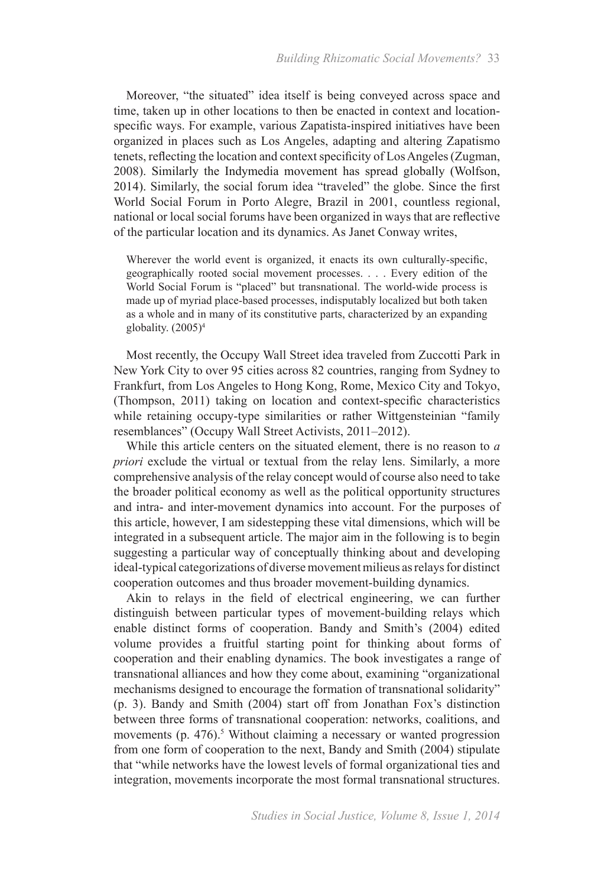Moreover, "the situated" idea itself is being conveyed across space and time, taken up in other locations to then be enacted in context and locationspecific ways. For example, various Zapatista-inspired initiatives have been organized in places such as Los Angeles, adapting and altering Zapatismo tenets, reflecting the location and context specificity of Los Angeles (Zugman, 2008). Similarly the Indymedia movement has spread globally (Wolfson, 2014). Similarly, the social forum idea "traveled" the globe. Since the first World Social Forum in Porto Alegre, Brazil in 2001, countless regional, national or local social forums have been organized in ways that are reflective of the particular location and its dynamics. As Janet Conway writes,

Wherever the world event is organized, it enacts its own culturally-specific, geographically rooted social movement processes. . . . Every edition of the World Social Forum is "placed" but transnational. The world-wide process is made up of myriad place-based processes, indisputably localized but both taken as a whole and in many of its constitutive parts, characterized by an expanding globality.  $(2005)^4$ 

Most recently, the Occupy Wall Street idea traveled from Zuccotti Park in New York City to over 95 cities across 82 countries, ranging from Sydney to Frankfurt, from Los Angeles to Hong Kong, Rome, Mexico City and Tokyo, (Thompson, 2011) taking on location and context-specific characteristics while retaining occupy-type similarities or rather Wittgensteinian "family" resemblances" (Occupy Wall Street Activists, 2011–2012).

While this article centers on the situated element, there is no reason to *a priori* exclude the virtual or textual from the relay lens. Similarly, a more comprehensive analysis of the relay concept would of course also need to take the broader political economy as well as the political opportunity structures and intra- and inter-movement dynamics into account. For the purposes of this article, however, I am sidestepping these vital dimensions, which will be integrated in a subsequent article. The major aim in the following is to begin suggesting a particular way of conceptually thinking about and developing ideal-typical categorizations of diverse movement milieus as relays for distinct cooperation outcomes and thus broader movement-building dynamics.

Akin to relays in the field of electrical engineering, we can further distinguish between particular types of movement-building relays which enable distinct forms of cooperation. Bandy and Smith's (2004) edited volume provides a fruitful starting point for thinking about forms of cooperation and their enabling dynamics. The book investigates a range of transnational alliances and how they come about, examining "organizational mechanisms designed to encourage the formation of transnational solidarity" (p. 3). Bandy and Smith (2004) start off from Jonathan Fox's distinction between three forms of transnational cooperation: networks, coalitions, and movements (p. 476).<sup>5</sup> Without claiming a necessary or wanted progression from one form of cooperation to the next, Bandy and Smith (2004) stipulate that "while networks have the lowest levels of formal organizational ties and integration, movements incorporate the most formal transnational structures.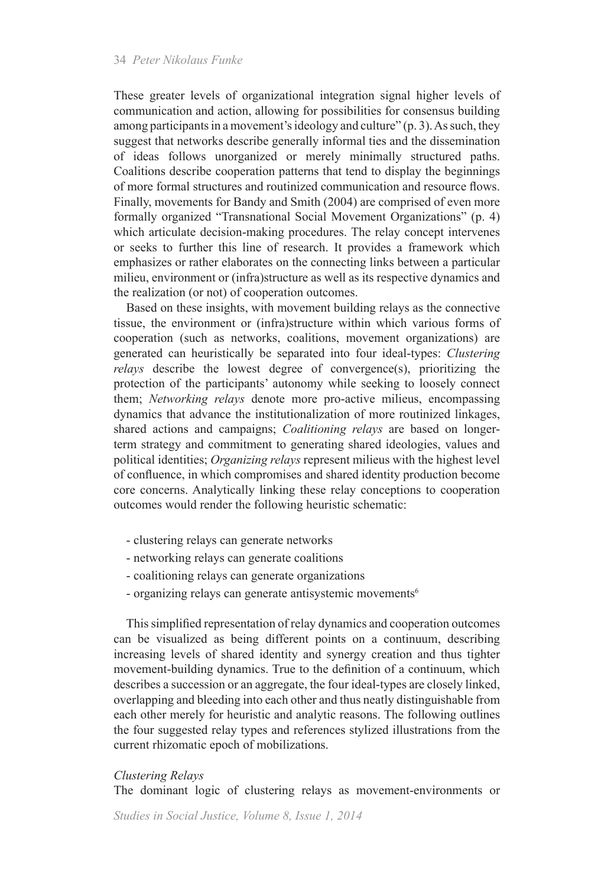These greater levels of organizational integration signal higher levels of communication and action, allowing for possibilities for consensus building among participants in a movement's ideology and culture" (p. 3). As such, they suggest that networks describe generally informal ties and the dissemination of ideas follows unorganized or merely minimally structured paths. Coalitions describe cooperation patterns that tend to display the beginnings of more formal structures and routinized communication and resource flows. Finally, movements for Bandy and Smith (2004) are comprised of even more formally organized "Transnational Social Movement Organizations" (p. 4) which articulate decision-making procedures. The relay concept intervenes or seeks to further this line of research. It provides a framework which emphasizes or rather elaborates on the connecting links between a particular milieu, environment or (infra)structure as well as its respective dynamics and the realization (or not) of cooperation outcomes.

Based on these insights, with movement building relays as the connective tissue, the environment or (infra)structure within which various forms of cooperation (such as networks, coalitions, movement organizations) are generated can heuristically be separated into four ideal-types: *Clustering relays* describe the lowest degree of convergence(s), prioritizing the protection of the participants' autonomy while seeking to loosely connect them; *Networking relays* denote more pro-active milieus, encompassing dynamics that advance the institutionalization of more routinized linkages, shared actions and campaigns; *Coalitioning relays* are based on longerterm strategy and commitment to generating shared ideologies, values and political identities; *Organizing relays* represent milieus with the highest level of confluence, in which compromises and shared identity production become core concerns. Analytically linking these relay conceptions to cooperation outcomes would render the following heuristic schematic:

- clustering relays can generate networks
- networking relays can generate coalitions
- coalitioning relays can generate organizations
- organizing relays can generate antisystemic movements<sup>6</sup>

This simplified representation of relay dynamics and cooperation outcomes can be visualized as being different points on a continuum, describing increasing levels of shared identity and synergy creation and thus tighter movement-building dynamics. True to the definition of a continuum, which describes a succession or an aggregate, the four ideal-types are closely linked, overlapping and bleeding into each other and thus neatly distinguishable from each other merely for heuristic and analytic reasons. The following outlines the four suggested relay types and references stylized illustrations from the current rhizomatic epoch of mobilizations.

#### *Clustering Relays*

The dominant logic of clustering relays as movement-environments or

*Studies in Social Justice, Volume 8, Issue 1, 2014*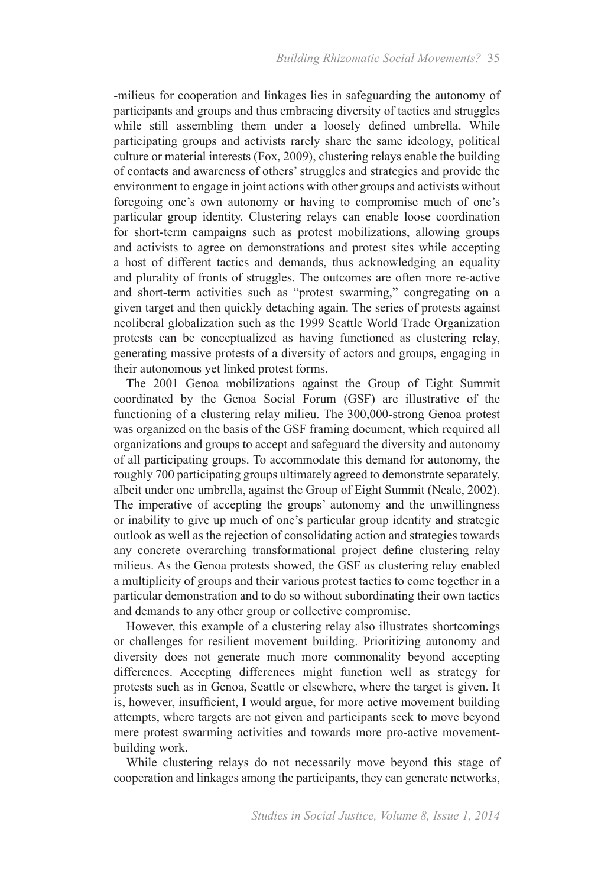-milieus for cooperation and linkages lies in safeguarding the autonomy of participants and groups and thus embracing diversity of tactics and struggles while still assembling them under a loosely defined umbrella. While participating groups and activists rarely share the same ideology, political culture or material interests (Fox, 2009), clustering relays enable the building of contacts and awareness of others' struggles and strategies and provide the environment to engage in joint actions with other groups and activists without foregoing one's own autonomy or having to compromise much of one's particular group identity. Clustering relays can enable loose coordination for short-term campaigns such as protest mobilizations, allowing groups and activists to agree on demonstrations and protest sites while accepting a host of different tactics and demands, thus acknowledging an equality and plurality of fronts of struggles. The outcomes are often more re-active and short-term activities such as "protest swarming," congregating on a given target and then quickly detaching again. The series of protests against neoliberal globalization such as the 1999 Seattle World Trade Organization protests can be conceptualized as having functioned as clustering relay, generating massive protests of a diversity of actors and groups, engaging in their autonomous yet linked protest forms.

The 2001 Genoa mobilizations against the Group of Eight Summit coordinated by the Genoa Social Forum (GSF) are illustrative of the functioning of a clustering relay milieu. The 300,000-strong Genoa protest was organized on the basis of the GSF framing document, which required all organizations and groups to accept and safeguard the diversity and autonomy of all participating groups. To accommodate this demand for autonomy, the roughly 700 participating groups ultimately agreed to demonstrate separately, albeit under one umbrella, against the Group of Eight Summit (Neale, 2002). The imperative of accepting the groups' autonomy and the unwillingness or inability to give up much of one's particular group identity and strategic outlook as well as the rejection of consolidating action and strategies towards any concrete overarching transformational project define clustering relay milieus. As the Genoa protests showed, the GSF as clustering relay enabled a multiplicity of groups and their various protest tactics to come together in a particular demonstration and to do so without subordinating their own tactics and demands to any other group or collective compromise.

However, this example of a clustering relay also illustrates shortcomings or challenges for resilient movement building. Prioritizing autonomy and diversity does not generate much more commonality beyond accepting differences. Accepting differences might function well as strategy for protests such as in Genoa, Seattle or elsewhere, where the target is given. It is, however, insufficient, I would argue, for more active movement building attempts, where targets are not given and participants seek to move beyond mere protest swarming activities and towards more pro-active movementbuilding work.

While clustering relays do not necessarily move beyond this stage of cooperation and linkages among the participants, they can generate networks,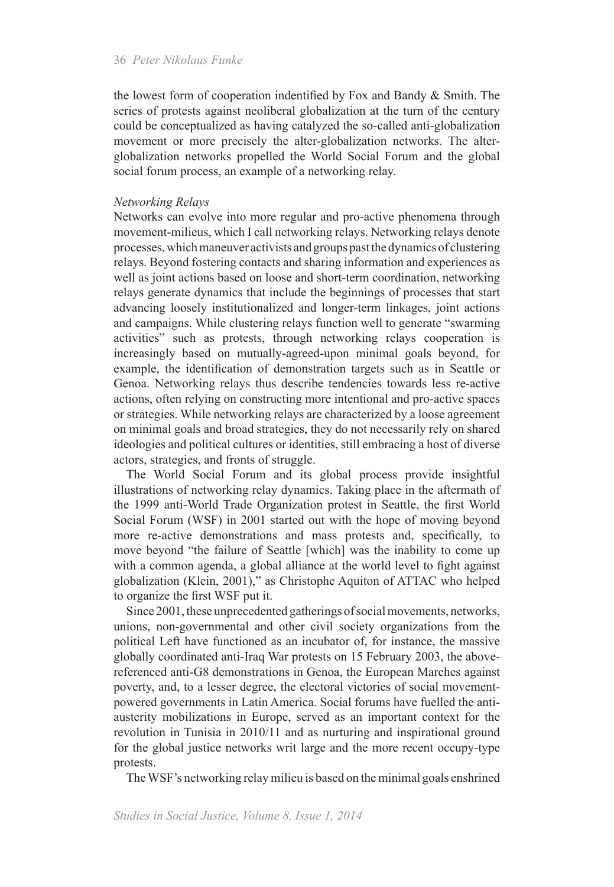the lowest form of cooperation indentified by Fox and Bandy & Smith. The series of protests against neoliberal globalization at the turn of the century could be conceptualized as having catalyzed the so-called anti-globalization movement or more precisely the alter-globalization networks. The alterglobalization networks propelled the World Social Forum and the global social forum process, an example of a networking relay.

#### *Networking Relays*

Networks can evolve into more regular and pro-active phenomena through movement-milieus, which I call networking relays. Networking relays denote processes, which maneuver activists and groups past the dynamics of clustering relays. Beyond fostering contacts and sharing information and experiences as well as joint actions based on loose and short-term coordination, networking relays generate dynamics that include the beginnings of processes that start advancing loosely institutionalized and longer-term linkages, joint actions and campaigns. While clustering relays function well to generate "swarming activities" such as protests, through networking relays cooperation is increasingly based on mutually-agreed-upon minimal goals beyond, for example, the identification of demonstration targets such as in Seattle or Genoa. Networking relays thus describe tendencies towards less re-active actions, often relying on constructing more intentional and pro-active spaces or strategies. While networking relays are characterized by a loose agreement on minimal goals and broad strategies, they do not necessarily rely on shared ideologies and political cultures or identities, still embracing a host of diverse actors, strategies, and fronts of struggle.

The World Social Forum and its global process provide insightful illustrations of networking relay dynamics. Taking place in the aftermath of the 1999 anti-World Trade Organization protest in Seattle, the first World Social Forum (WSF) in 2001 started out with the hope of moving beyond more re-active demonstrations and mass protests and, specifically, to move beyond "the failure of Seattle [which] was the inability to come up with a common agenda, a global alliance at the world level to fight against globalization (Klein, 2001)," as Christophe Aquiton of ATTAC who helped to organize the first WSF put it.

Since 2001, these unprecedented gatherings of social movements, networks, unions, non-governmental and other civil society organizations from the political Left have functioned as an incubator of, for instance, the massive globally coordinated anti-Iraq War protests on 15 February 2003, the abovereferenced anti-G8 demonstrations in Genoa, the European Marches against poverty, and, to a lesser degree, the electoral victories of social movementpowered governments in Latin America. Social forums have fuelled the antiausterity mobilizations in Europe, served as an important context for the revolution in Tunisia in 2010/11 and as nurturing and inspirational ground for the global justice networks writ large and the more recent occupy-type protests.

The WSF's networking relay milieu is based on the minimal goals enshrined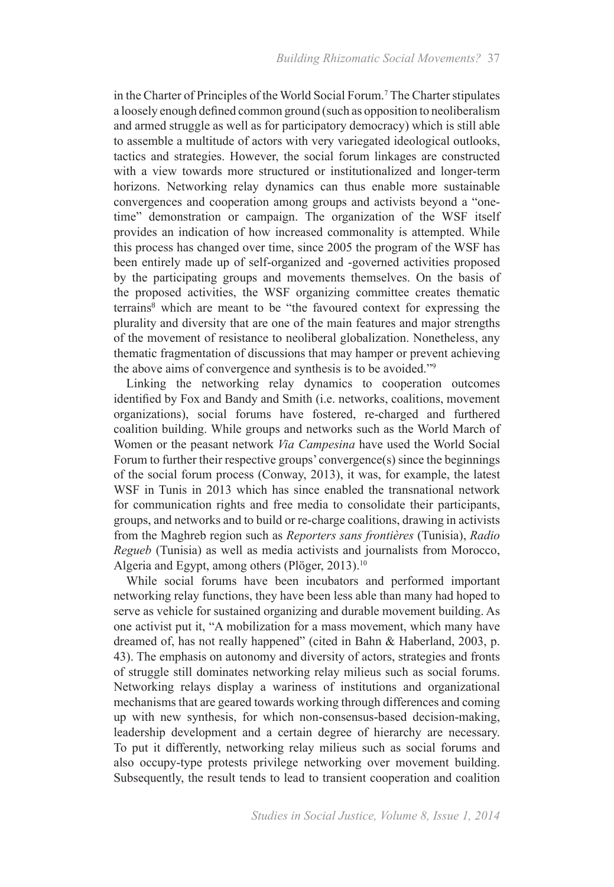in the Charter of Principles of the World Social Forum.7 The Charter stipulates a loosely enough defined common ground (such as opposition to neoliberalism and armed struggle as well as for participatory democracy) which is still able to assemble a multitude of actors with very variegated ideological outlooks, tactics and strategies. However, the social forum linkages are constructed with a view towards more structured or institutionalized and longer-term horizons. Networking relay dynamics can thus enable more sustainable convergences and cooperation among groups and activists beyond a "onetime" demonstration or campaign. The organization of the WSF itself provides an indication of how increased commonality is attempted. While this process has changed over time, since 2005 the program of the WSF has been entirely made up of self-organized and -governed activities proposed by the participating groups and movements themselves. On the basis of the proposed activities, the WSF organizing committee creates thematic terrains<sup>8</sup> which are meant to be "the favoured context for expressing the plurality and diversity that are one of the main features and major strengths of the movement of resistance to neoliberal globalization. Nonetheless, any thematic fragmentation of discussions that may hamper or prevent achieving the above aims of convergence and synthesis is to be avoided."<sup>9</sup>

Linking the networking relay dynamics to cooperation outcomes identified by Fox and Bandy and Smith (i.e. networks, coalitions, movement organizations), social forums have fostered, re-charged and furthered coalition building. While groups and networks such as the World March of Women or the peasant network *Via Campesina* have used the World Social Forum to further their respective groups' convergence(s) since the beginnings of the social forum process (Conway, 2013), it was, for example, the latest WSF in Tunis in 2013 which has since enabled the transnational network for communication rights and free media to consolidate their participants, groups, and networks and to build or re-charge coalitions, drawing in activists from the Maghreb region such as *Reporters sans frontières* (Tunisia), *Radio Regueb* (Tunisia) as well as media activists and journalists from Morocco, Algeria and Egypt, among others (Plöger, 2013).<sup>10</sup>

While social forums have been incubators and performed important networking relay functions, they have been less able than many had hoped to serve as vehicle for sustained organizing and durable movement building. As one activist put it, "A mobilization for a mass movement, which many have dreamed of, has not really happened" (cited in Bahn & Haberland, 2003, p. 43). The emphasis on autonomy and diversity of actors, strategies and fronts of struggle still dominates networking relay milieus such as social forums. Networking relays display a wariness of institutions and organizational mechanisms that are geared towards working through differences and coming up with new synthesis, for which non-consensus-based decision-making, leadership development and a certain degree of hierarchy are necessary. To put it differently, networking relay milieus such as social forums and also occupy-type protests privilege networking over movement building. Subsequently, the result tends to lead to transient cooperation and coalition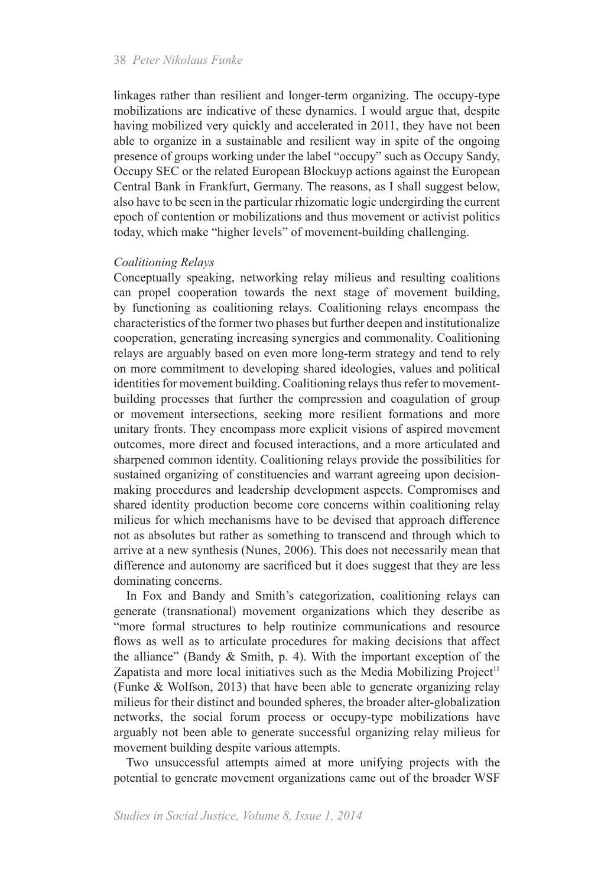linkages rather than resilient and longer-term organizing. The occupy-type mobilizations are indicative of these dynamics. I would argue that, despite having mobilized very quickly and accelerated in 2011, they have not been able to organize in a sustainable and resilient way in spite of the ongoing presence of groups working under the label "occupy" such as Occupy Sandy, Occupy SEC or the related European Blockuyp actions against the European Central Bank in Frankfurt, Germany. The reasons, as I shall suggest below, also have to be seen in the particular rhizomatic logic undergirding the current epoch of contention or mobilizations and thus movement or activist politics today, which make "higher levels" of movement-building challenging.

#### *Coalitioning Relays*

Conceptually speaking, networking relay milieus and resulting coalitions can propel cooperation towards the next stage of movement building, by functioning as coalitioning relays. Coalitioning relays encompass the characteristics of the former two phases but further deepen and institutionalize cooperation, generating increasing synergies and commonality. Coalitioning relays are arguably based on even more long-term strategy and tend to rely on more commitment to developing shared ideologies, values and political identities for movement building. Coalitioning relays thus refer to movementbuilding processes that further the compression and coagulation of group or movement intersections, seeking more resilient formations and more unitary fronts. They encompass more explicit visions of aspired movement outcomes, more direct and focused interactions, and a more articulated and sharpened common identity. Coalitioning relays provide the possibilities for sustained organizing of constituencies and warrant agreeing upon decisionmaking procedures and leadership development aspects. Compromises and shared identity production become core concerns within coalitioning relay milieus for which mechanisms have to be devised that approach difference not as absolutes but rather as something to transcend and through which to arrive at a new synthesis (Nunes, 2006). This does not necessarily mean that difference and autonomy are sacrificed but it does suggest that they are less dominating concerns.

In Fox and Bandy and Smith's categorization, coalitioning relays can generate (transnational) movement organizations which they describe as "more formal structures to help routinize communications and resource flows as well as to articulate procedures for making decisions that affect the alliance" (Bandy & Smith, p. 4). With the important exception of the Zapatista and more local initiatives such as the Media Mobilizing Project<sup>11</sup> (Funke & Wolfson, 2013) that have been able to generate organizing relay milieus for their distinct and bounded spheres, the broader alter-globalization networks, the social forum process or occupy-type mobilizations have arguably not been able to generate successful organizing relay milieus for movement building despite various attempts.

Two unsuccessful attempts aimed at more unifying projects with the potential to generate movement organizations came out of the broader WSF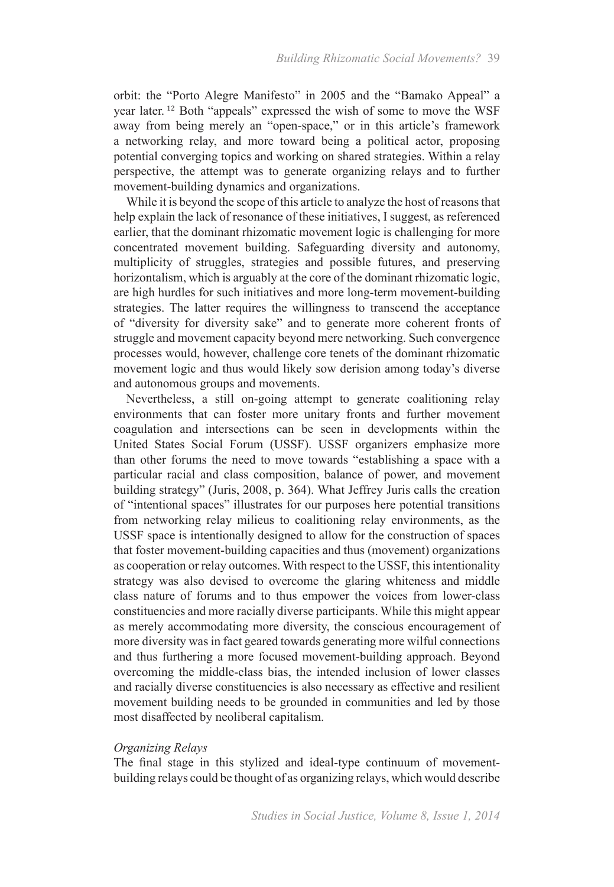orbit: the "Porto Alegre Manifesto" in 2005 and the "Bamako Appeal" a year later. <sup>12</sup> Both "appeals" expressed the wish of some to move the WSF away from being merely an "open-space," or in this article's framework a networking relay, and more toward being a political actor, proposing potential converging topics and working on shared strategies. Within a relay perspective, the attempt was to generate organizing relays and to further movement-building dynamics and organizations.

While it is beyond the scope of this article to analyze the host of reasons that help explain the lack of resonance of these initiatives, I suggest, as referenced earlier, that the dominant rhizomatic movement logic is challenging for more concentrated movement building. Safeguarding diversity and autonomy, multiplicity of struggles, strategies and possible futures, and preserving horizontalism, which is arguably at the core of the dominant rhizomatic logic, are high hurdles for such initiatives and more long-term movement-building strategies. The latter requires the willingness to transcend the acceptance of "diversity for diversity sake" and to generate more coherent fronts of struggle and movement capacity beyond mere networking. Such convergence processes would, however, challenge core tenets of the dominant rhizomatic movement logic and thus would likely sow derision among today's diverse and autonomous groups and movements.

Nevertheless, a still on-going attempt to generate coalitioning relay environments that can foster more unitary fronts and further movement coagulation and intersections can be seen in developments within the United States Social Forum (USSF). USSF organizers emphasize more than other forums the need to move towards "establishing a space with a particular racial and class composition, balance of power, and movement building strategy" (Juris, 2008, p. 364). What Jeffrey Juris calls the creation of "intentional spaces" illustrates for our purposes here potential transitions from networking relay milieus to coalitioning relay environments, as the USSF space is intentionally designed to allow for the construction of spaces that foster movement-building capacities and thus (movement) organizations as cooperation or relay outcomes. With respect to the USSF, this intentionality strategy was also devised to overcome the glaring whiteness and middle class nature of forums and to thus empower the voices from lower-class constituencies and more racially diverse participants. While this might appear as merely accommodating more diversity, the conscious encouragement of more diversity was in fact geared towards generating more wilful connections and thus furthering a more focused movement-building approach. Beyond overcoming the middle-class bias, the intended inclusion of lower classes and racially diverse constituencies is also necessary as effective and resilient movement building needs to be grounded in communities and led by those most disaffected by neoliberal capitalism.

#### *Organizing Relays*

The final stage in this stylized and ideal-type continuum of movementbuilding relays could be thought of as organizing relays, which would describe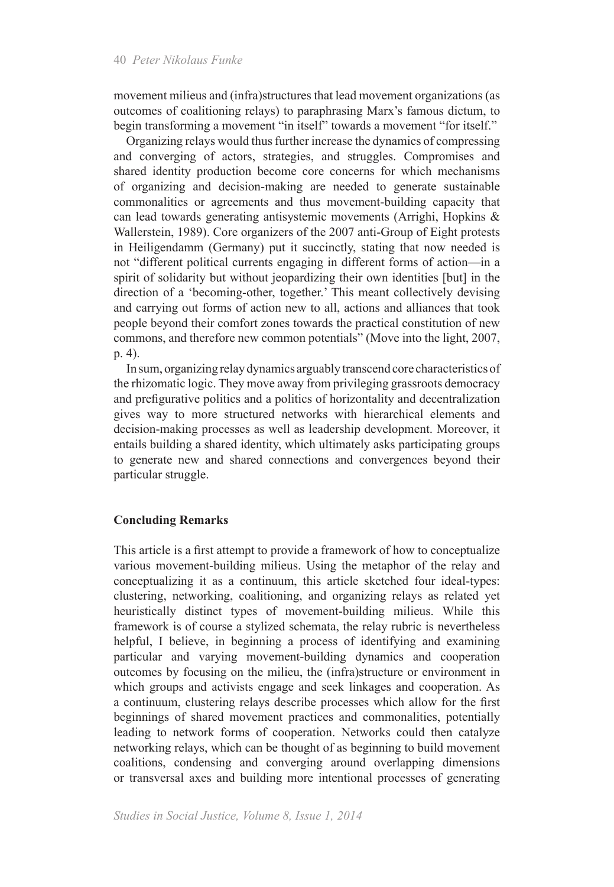movement milieus and (infra)structures that lead movement organizations (as outcomes of coalitioning relays) to paraphrasing Marx's famous dictum, to begin transforming a movement "in itself" towards a movement "for itself."

Organizing relays would thus further increase the dynamics of compressing and converging of actors, strategies, and struggles. Compromises and shared identity production become core concerns for which mechanisms of organizing and decision-making are needed to generate sustainable commonalities or agreements and thus movement-building capacity that can lead towards generating antisystemic movements (Arrighi, Hopkins & Wallerstein, 1989). Core organizers of the 2007 anti-Group of Eight protests in Heiligendamm (Germany) put it succinctly, stating that now needed is not "different political currents engaging in different forms of action—in a spirit of solidarity but without jeopardizing their own identities [but] in the direction of a 'becoming-other, together.' This meant collectively devising and carrying out forms of action new to all, actions and alliances that took people beyond their comfort zones towards the practical constitution of new commons, and therefore new common potentials" (Move into the light, 2007, p. 4).

In sum, organizing relay dynamics arguably transcend core characteristics of the rhizomatic logic. They move away from privileging grassroots democracy and prefigurative politics and a politics of horizontality and decentralization gives way to more structured networks with hierarchical elements and decision-making processes as well as leadership development. Moreover, it entails building a shared identity, which ultimately asks participating groups to generate new and shared connections and convergences beyond their particular struggle.

#### **Concluding Remarks**

This article is a first attempt to provide a framework of how to conceptualize various movement-building milieus. Using the metaphor of the relay and conceptualizing it as a continuum, this article sketched four ideal-types: clustering, networking, coalitioning, and organizing relays as related yet heuristically distinct types of movement-building milieus. While this framework is of course a stylized schemata, the relay rubric is nevertheless helpful, I believe, in beginning a process of identifying and examining particular and varying movement-building dynamics and cooperation outcomes by focusing on the milieu, the (infra)structure or environment in which groups and activists engage and seek linkages and cooperation. As a continuum, clustering relays describe processes which allow for the first beginnings of shared movement practices and commonalities, potentially leading to network forms of cooperation. Networks could then catalyze networking relays, which can be thought of as beginning to build movement coalitions, condensing and converging around overlapping dimensions or transversal axes and building more intentional processes of generating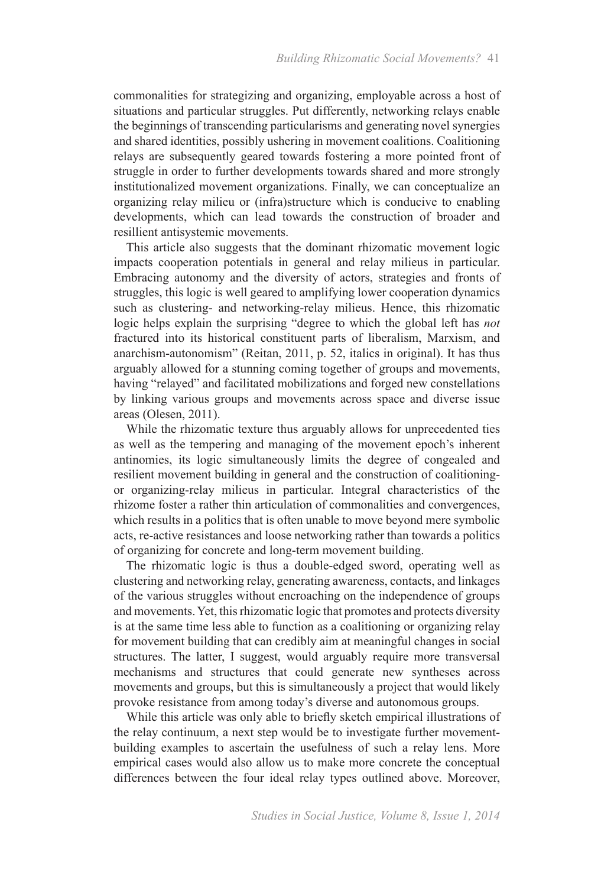commonalities for strategizing and organizing, employable across a host of situations and particular struggles. Put differently, networking relays enable the beginnings of transcending particularisms and generating novel synergies and shared identities, possibly ushering in movement coalitions. Coalitioning relays are subsequently geared towards fostering a more pointed front of struggle in order to further developments towards shared and more strongly institutionalized movement organizations. Finally, we can conceptualize an organizing relay milieu or (infra)structure which is conducive to enabling developments, which can lead towards the construction of broader and resillient antisystemic movements.

This article also suggests that the dominant rhizomatic movement logic impacts cooperation potentials in general and relay milieus in particular. Embracing autonomy and the diversity of actors, strategies and fronts of struggles, this logic is well geared to amplifying lower cooperation dynamics such as clustering- and networking-relay milieus. Hence, this rhizomatic logic helps explain the surprising "degree to which the global left has *not* fractured into its historical constituent parts of liberalism, Marxism, and anarchism-autonomism" (Reitan, 2011, p. 52, italics in original). It has thus arguably allowed for a stunning coming together of groups and movements, having "relayed" and facilitated mobilizations and forged new constellations by linking various groups and movements across space and diverse issue areas (Olesen, 2011).

While the rhizomatic texture thus arguably allows for unprecedented ties as well as the tempering and managing of the movement epoch's inherent antinomies, its logic simultaneously limits the degree of congealed and resilient movement building in general and the construction of coalitioningor organizing-relay milieus in particular. Integral characteristics of the rhizome foster a rather thin articulation of commonalities and convergences, which results in a politics that is often unable to move beyond mere symbolic acts, re-active resistances and loose networking rather than towards a politics of organizing for concrete and long-term movement building.

The rhizomatic logic is thus a double-edged sword, operating well as clustering and networking relay, generating awareness, contacts, and linkages of the various struggles without encroaching on the independence of groups and movements. Yet, this rhizomatic logic that promotes and protects diversity is at the same time less able to function as a coalitioning or organizing relay for movement building that can credibly aim at meaningful changes in social structures. The latter, I suggest, would arguably require more transversal mechanisms and structures that could generate new syntheses across movements and groups, but this is simultaneously a project that would likely provoke resistance from among today's diverse and autonomous groups.

While this article was only able to briefly sketch empirical illustrations of the relay continuum, a next step would be to investigate further movementbuilding examples to ascertain the usefulness of such a relay lens. More empirical cases would also allow us to make more concrete the conceptual differences between the four ideal relay types outlined above. Moreover,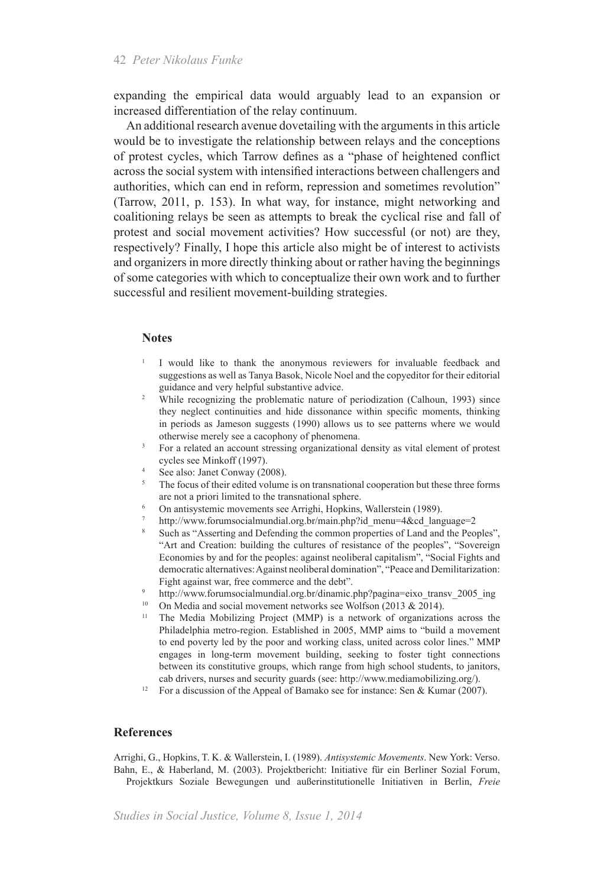expanding the empirical data would arguably lead to an expansion or increased differentiation of the relay continuum.

An additional research avenue dovetailing with the arguments in this article would be to investigate the relationship between relays and the conceptions of protest cycles, which Tarrow defines as a "phase of heightened conflict across the social system with intensified interactions between challengers and authorities, which can end in reform, repression and sometimes revolution" (Tarrow, 2011, p. 153). In what way, for instance, might networking and coalitioning relays be seen as attempts to break the cyclical rise and fall of protest and social movement activities? How successful (or not) are they, respectively? Finally, I hope this article also might be of interest to activists and organizers in more directly thinking about or rather having the beginnings of some categories with which to conceptualize their own work and to further successful and resilient movement-building strategies.

#### **Notes**

- <sup>1</sup> I would like to thank the anonymous reviewers for invaluable feedback and suggestions as well as Tanya Basok, Nicole Noel and the copyeditor for their editorial guidance and very helpful substantive advice.
- <sup>2</sup> While recognizing the problematic nature of periodization (Calhoun, 1993) since they neglect continuities and hide dissonance within specific moments, thinking in periods as Jameson suggests (1990) allows us to see patterns where we would otherwise merely see a cacophony of phenomena.
- <sup>3</sup> For a related an account stressing organizational density as vital element of protest cycles see Minkoff (1997).
- <sup>4</sup> See also: Janet Conway (2008).
- <sup>5</sup> The focus of their edited volume is on transnational cooperation but these three forms are not a priori limited to the transnational sphere.
- <sup>6</sup> On antisystemic movements see Arrighi, Hopkins, Wallerstein (1989).
- http://www.forumsocialmundial.org.br/main.php?id\_menu=4&cd\_language=2
- Such as "Asserting and Defending the common properties of Land and the Peoples", "Art and Creation: building the cultures of resistance of the peoples", "Sovereign Economies by and for the peoples: against neoliberal capitalism", "Social Fights and democratic alternatives: Against neoliberal domination", "Peace and Demilitarization: Fight against war, free commerce and the debt".
- <sup>9</sup> http://www.forumsocialmundial.org.br/dinamic.php?pagina=eixo\_transv\_2005\_ing
- <sup>10</sup> On Media and social movement networks see Wolfson (2013 & 2014).
- <sup>11</sup> The Media Mobilizing Project (MMP) is a network of organizations across the Philadelphia metro-region. Established in 2005, MMP aims to "build a movement to end poverty led by the poor and working class, united across color lines." MMP engages in long-term movement building, seeking to foster tight connections between its constitutive groups, which range from high school students, to janitors, cab drivers, nurses and security guards (see: http://www.mediamobilizing.org/).
- <sup>12</sup> For a discussion of the Appeal of Bamako see for instance: Sen & Kumar (2007).

#### **References**

Arrighi, G., Hopkins, T. K. & Wallerstein, I. (1989). *Antisystemic Movements*. New York: Verso. Bahn, E., & Haberland, M. (2003). Projektbericht: Initiative für ein Berliner Sozial Forum, Projektkurs Soziale Bewegungen und außerinstitutionelle Initiativen in Berlin, *Freie*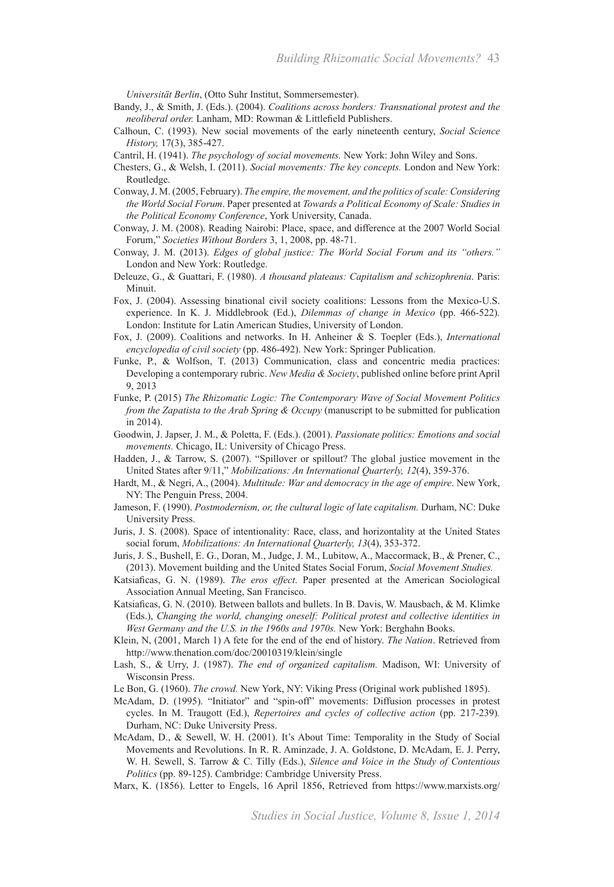*Universität Berlin*, (Otto Suhr Institut, Sommersemester).

- Bandy, J., & Smith, J. (Eds.). (2004). *Coalitions across borders: Transnational protest and the neoliberal order.* Lanham, MD: Rowman & Littlefield Publishers.
- Calhoun, C. (1993). New social movements of the early nineteenth century, *Social Science History,* 17(3), 385-427.
- Cantril, H. (1941). *The psychology of social movements.* New York: John Wiley and Sons.
- Chesters, G., & Welsh, I. (2011). *Social movements: The key concepts.* London and New York: Routledge.
- Conway, J. M. (2005, February). *The empire, the movement, and the politics of scale: Considering the World Social Forum*. Paper presented at *Towards a Political Economy of Scale: Studies in the Political Economy Conference*, York University, Canada.
- Conway, J. M. (2008). Reading Nairobi: Place, space, and difference at the 2007 World Social Forum," *Societies Without Borders* 3, 1, 2008, pp. 48-71.
- Conway, J. M. (2013). *Edges of global justice: The World Social Forum and its "others."* London and New York: Routledge.
- Deleuze, G., & Guattari, F. (1980). *A thousand plateaus: Capitalism and schizophrenia*. Paris: Minuit.
- Fox, J. (2004). Assessing binational civil society coalitions: Lessons from the Mexico-U.S. experience. In K. J. Middlebrook (Ed.), *Dilemmas of change in Mexico* (pp. 466-522)*.* London: Institute for Latin American Studies, University of London.
- Fox, J. (2009). Coalitions and networks. In H. Anheiner & S. Toepler (Eds.), *International encyclopedia of civil society* (pp. 486-492). New York: Springer Publication.
- Funke, P., & Wolfson, T. (2013) Communication, class and concentric media practices: Developing a contemporary rubric. *New Media & Society*, published online before print April 9, 2013
- Funke, P. (2015) *The Rhizomatic Logic: The Contemporary Wave of Social Movement Politics from the Zapatista to the Arab Spring & Occupy* (manuscript to be submitted for publication in 2014).
- Goodwin, J. Japser, J. M., & Poletta, F. (Eds.). (2001). *Passionate politics: Emotions and social movements.* Chicago, IL: University of Chicago Press.
- Hadden, J., & Tarrow, S. (2007). "Spillover or spillout? The global justice movement in the United States after 9/11," *Mobilizations: An International Quarterly, 12*(4), 359-376.
- Hardt, M., & Negri, A., (2004). *Multitude: War and democracy in the age of empire*. New York, NY: The Penguin Press, 2004.
- Jameson, F. (1990). *Postmodernism, or, the cultural logic of late capitalism.* Durham, NC: Duke University Press.
- Juris, J. S. (2008). Space of intentionality: Race, class, and horizontality at the United States social forum, *Mobilizations: An International Quarterly, 13*(4), 353-372.
- Juris, J. S., Bushell, E. G., Doran, M., Judge, J. M., Lubitow, A., Maccormack, B., & Prener, C., (2013). Movement building and the United States Social Forum, *Social Movement Studies.*
- Katsiaficas, G. N. (1989). *The eros effect*. Paper presented at the American Sociological Association Annual Meeting, San Francisco.
- Katsiaficas, G. N. (2010). Between ballots and bullets. In B. Davis, W. Mausbach, & M. Klimke (Eds.), *Changing the world, changing oneself: Political protest and collective identities in West Germany and the U.S. in the 1960s and 1970s.* New York: Berghahn Books.
- Klein, N, (2001, March 1) A fete for the end of the end of history. *The Nation*. Retrieved from http://www.thenation.com/doc/20010319/klein/single
- Lash, S., & Urry, J. (1987). *The end of organized capitalism.* Madison, WI: University of Wisconsin Press.
- Le Bon, G. (1960). *The crowd.* New York, NY: Viking Press (Original work published 1895).
- McAdam, D. (1995). "Initiator" and "spin-off" movements: Diffusion processes in protest cycles. In M. Traugott (Ed.), *Repertoires and cycles of collective action* (pp. 217-239)*.* Durham, NC: Duke University Press.
- McAdam, D., & Sewell, W. H. (2001). It's About Time: Temporality in the Study of Social Movements and Revolutions. In R. R. Aminzade, J. A. Goldstone, D. McAdam, E. J. Perry, W. H. Sewell, S. Tarrow & C. Tilly (Eds.), *Silence and Voice in the Study of Contentious Politics* (pp. 89-125). Cambridge: Cambridge University Press.
- Marx, K. (1856). Letter to Engels, 16 April 1856, Retrieved from https://www.marxists.org/